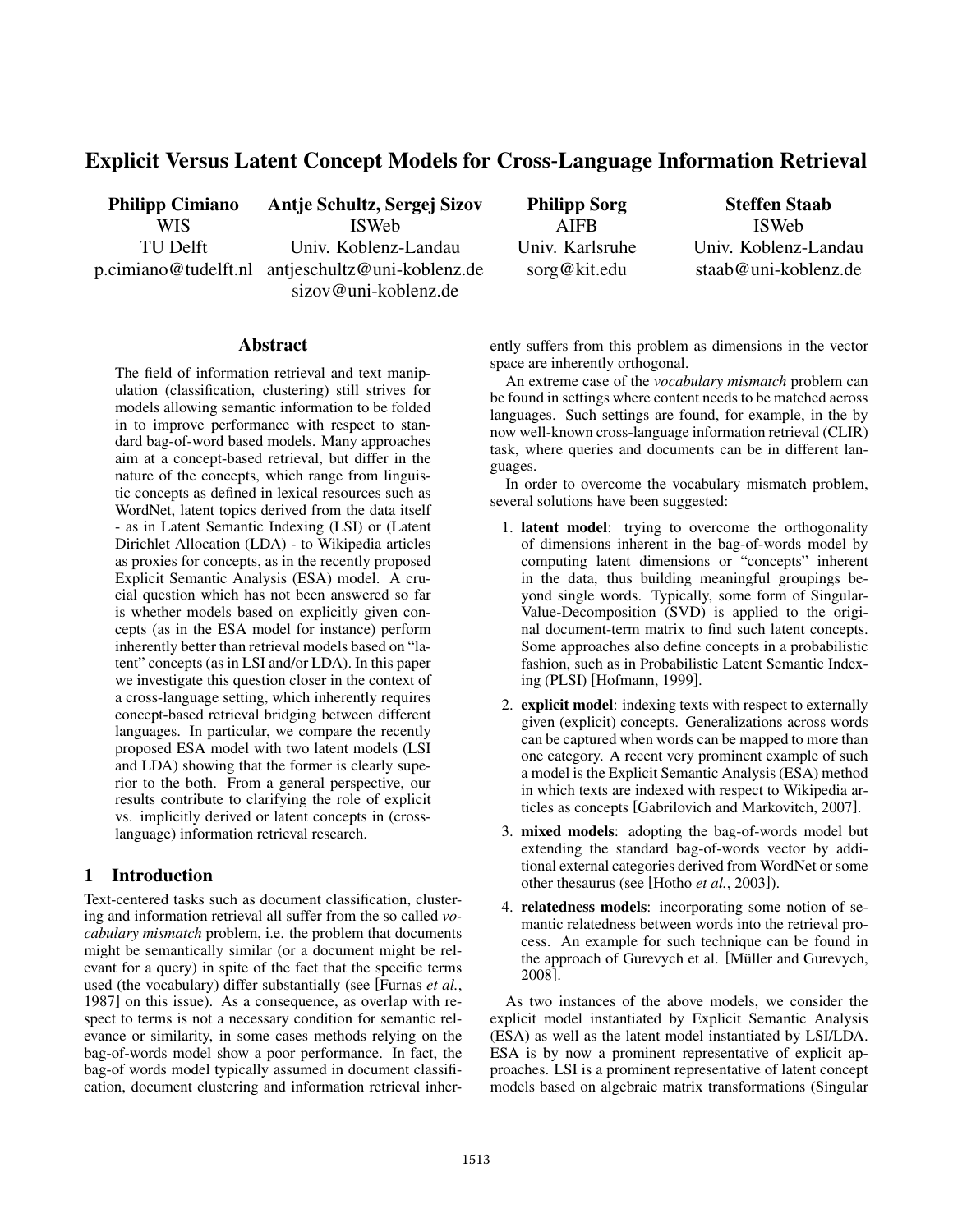# Explicit Versus Latent Concept Models for Cross-Language Information Retrieval

Philipp Cimiano WIS TU Delft p.cimiano@tudelft.nl antjeschultz@uni-koblenz.de Antje Schultz, Sergej Sizov ISWeb Univ. Koblenz-Landau sizov@uni-koblenz.de

Philipp Sorg AIFB Univ. Karlsruhe sorg@kit.edu

Steffen Staab ISWeb Univ. Koblenz-Landau staab@uni-koblenz.de

#### Abstract

The field of information retrieval and text manipulation (classification, clustering) still strives for models allowing semantic information to be folded in to improve performance with respect to standard bag-of-word based models. Many approaches aim at a concept-based retrieval, but differ in the nature of the concepts, which range from linguistic concepts as defined in lexical resources such as WordNet, latent topics derived from the data itself - as in Latent Semantic Indexing (LSI) or (Latent Dirichlet Allocation (LDA) - to Wikipedia articles as proxies for concepts, as in the recently proposed Explicit Semantic Analysis (ESA) model. A crucial question which has not been answered so far is whether models based on explicitly given concepts (as in the ESA model for instance) perform inherently better than retrieval models based on "latent" concepts (as in LSI and/or LDA). In this paper we investigate this question closer in the context of a cross-language setting, which inherently requires concept-based retrieval bridging between different languages. In particular, we compare the recently proposed ESA model with two latent models (LSI and LDA) showing that the former is clearly superior to the both. From a general perspective, our results contribute to clarifying the role of explicit vs. implicitly derived or latent concepts in (crosslanguage) information retrieval research.

## 1 Introduction

Text-centered tasks such as document classification, clustering and information retrieval all suffer from the so called *vocabulary mismatch* problem, i.e. the problem that documents might be semantically similar (or a document might be relevant for a query) in spite of the fact that the specific terms used (the vocabulary) differ substantially (see [Furnas *et al.*, 1987] on this issue). As a consequence, as overlap with respect to terms is not a necessary condition for semantic relevance or similarity, in some cases methods relying on the bag-of-words model show a poor performance. In fact, the bag-of words model typically assumed in document classification, document clustering and information retrieval inherently suffers from this problem as dimensions in the vector space are inherently orthogonal.

An extreme case of the *vocabulary mismatch* problem can be found in settings where content needs to be matched across languages. Such settings are found, for example, in the by now well-known cross-language information retrieval (CLIR) task, where queries and documents can be in different languages.

In order to overcome the vocabulary mismatch problem, several solutions have been suggested:

- 1. latent model: trying to overcome the orthogonality of dimensions inherent in the bag-of-words model by computing latent dimensions or "concepts" inherent in the data, thus building meaningful groupings beyond single words. Typically, some form of Singular-Value-Decomposition (SVD) is applied to the original document-term matrix to find such latent concepts. Some approaches also define concepts in a probabilistic fashion, such as in Probabilistic Latent Semantic Indexing (PLSI) [Hofmann, 1999].
- 2. explicit model: indexing texts with respect to externally given (explicit) concepts. Generalizations across words can be captured when words can be mapped to more than one category. A recent very prominent example of such a model is the Explicit Semantic Analysis (ESA) method in which texts are indexed with respect to Wikipedia articles as concepts [Gabrilovich and Markovitch, 2007].
- 3. mixed models: adopting the bag-of-words model but extending the standard bag-of-words vector by additional external categories derived from WordNet or some other thesaurus (see [Hotho *et al.*, 2003]).
- 4. relatedness models: incorporating some notion of semantic relatedness between words into the retrieval process. An example for such technique can be found in the approach of Gurevych et al. [Müller and Gurevych, 2008].

As two instances of the above models, we consider the explicit model instantiated by Explicit Semantic Analysis (ESA) as well as the latent model instantiated by LSI/LDA. ESA is by now a prominent representative of explicit approaches. LSI is a prominent representative of latent concept models based on algebraic matrix transformations (Singular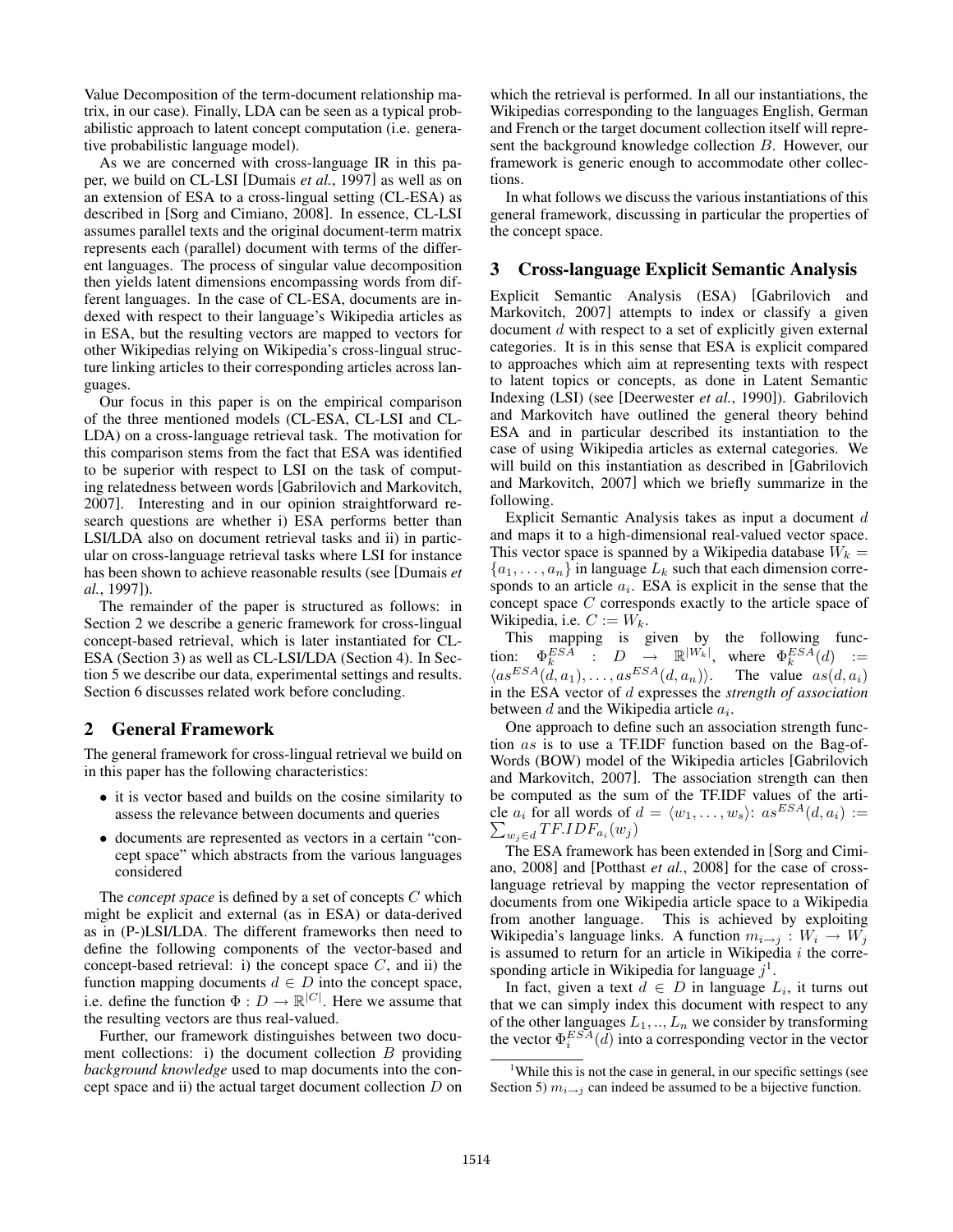Value Decomposition of the term-document relationship matrix, in our case). Finally, LDA can be seen as a typical probabilistic approach to latent concept computation (i.e. generative probabilistic language model).

As we are concerned with cross-language IR in this paper, we build on CL-LSI [Dumais *et al.*, 1997] as well as on an extension of ESA to a cross-lingual setting (CL-ESA) as described in [Sorg and Cimiano, 2008]. In essence, CL-LSI assumes parallel texts and the original document-term matrix represents each (parallel) document with terms of the different languages. The process of singular value decomposition then yields latent dimensions encompassing words from different languages. In the case of CL-ESA, documents are indexed with respect to their language's Wikipedia articles as in ESA, but the resulting vectors are mapped to vectors for other Wikipedias relying on Wikipedia's cross-lingual structure linking articles to their corresponding articles across languages.

Our focus in this paper is on the empirical comparison of the three mentioned models (CL-ESA, CL-LSI and CL-LDA) on a cross-language retrieval task. The motivation for this comparison stems from the fact that ESA was identified to be superior with respect to LSI on the task of computing relatedness between words [Gabrilovich and Markovitch, 2007]. Interesting and in our opinion straightforward research questions are whether i) ESA performs better than LSI/LDA also on document retrieval tasks and ii) in particular on cross-language retrieval tasks where LSI for instance has been shown to achieve reasonable results (see [Dumais *et al.*, 1997]).

The remainder of the paper is structured as follows: in Section 2 we describe a generic framework for cross-lingual concept-based retrieval, which is later instantiated for CL-ESA (Section 3) as well as CL-LSI/LDA (Section 4). In Section 5 we describe our data, experimental settings and results. Section 6 discusses related work before concluding.

## 2 General Framework

The general framework for cross-lingual retrieval we build on in this paper has the following characteristics:

- it is vector based and builds on the cosine similarity to assess the relevance between documents and queries
- documents are represented as vectors in a certain "concept space" which abstracts from the various languages considered

The *concept space* is defined by a set of concepts C which might be explicit and external (as in ESA) or data-derived as in (P-)LSI/LDA. The different frameworks then need to define the following components of the vector-based and concept-based retrieval: i) the concept space  $C$ , and ii) the function mapping documents  $d \in D$  into the concept space, i.e. define the function  $\Phi: D \to \mathbb{R}^{|C|}$ . Here we assume that the resulting vectors are thus real-valued.

Further, our framework distinguishes between two document collections: i) the document collection  $B$  providing *background knowledge* used to map documents into the concept space and ii) the actual target document collection  $D$  on which the retrieval is performed. In all our instantiations, the Wikipedias corresponding to the languages English, German and French or the target document collection itself will represent the background knowledge collection B. However, our framework is generic enough to accommodate other collections.

In what follows we discuss the various instantiations of this general framework, discussing in particular the properties of the concept space.

## 3 Cross-language Explicit Semantic Analysis

Explicit Semantic Analysis (ESA) [Gabrilovich and Markovitch, 2007] attempts to index or classify a given document d with respect to a set of explicitly given external categories. It is in this sense that ESA is explicit compared to approaches which aim at representing texts with respect to latent topics or concepts, as done in Latent Semantic Indexing (LSI) (see [Deerwester *et al.*, 1990]). Gabrilovich and Markovitch have outlined the general theory behind ESA and in particular described its instantiation to the case of using Wikipedia articles as external categories. We will build on this instantiation as described in [Gabrilovich] and Markovitch, 2007] which we briefly summarize in the following.

Explicit Semantic Analysis takes as input a document d and maps it to a high-dimensional real-valued vector space. This vector space is spanned by a Wikipedia database  $W_k =$  ${a_1, \ldots, a_n}$  in language  $L_k$  such that each dimension corresponds to an article  $a_i$ . ESA is explicit in the sense that the concept space C corresponds exactly to the article space of Wikipedia, i.e.  $C := W_k$ .

This mapping is given by the following function:  $\Phi_k^{ESA}$  :  $D \to \mathbb{R}^{|W_k|}$ , where  $\Phi_k^{ESA}(d)$  :=  $\langle a s^{ESA}(\ddot{d}, a_1), \ldots, a s^{ESA}(d, a_n) \rangle$ . The value  $as(d, a_i)$ in the ESA vector of d expresses the *strength of association* between  $d$  and the Wikipedia article  $a_i$ .

One approach to define such an association strength function as is to use a TF.IDF function based on the Bag-of-Words (BOW) model of the Wikipedia articles [Gabrilovich and Markovitch, 2007]. The association strength can then be computed as the sum of the TF.IDF values of the article  $a_i$  for all words of  $d = \langle w_1, \dots, w_s \rangle$ :  $as^{ESA}(d, a_i) :=$  $\sum_{w_j \in d} T F. IDF_{a_i}(w_j)$ 

The ESA framework has been extended in [Sorg and Cimiano, 2008] and [Potthast *et al.*, 2008] for the case of crosslanguage retrieval by mapping the vector representation of documents from one Wikipedia article space to a Wikipedia from another language. This is achieved by exploiting Wikipedia's language links. A function  $m_{i\rightarrow j} : W_i \rightarrow W_j$ is assumed to return for an article in Wikipedia  $i$  the corresponding article in Wikipedia for language  $j^1$ .

In fact, given a text  $d \in D$  in language  $L_i$ , it turns out that we can simply index this document with respect to any of the other languages  $L_1, \ldots, L_n$  we consider by transforming the vector  $\Phi_i^{ESA}(\vec{d})$  into a corresponding vector in the vector

<sup>&</sup>lt;sup>1</sup>While this is not the case in general, in our specific settings (see Section 5)  $m_{i\rightarrow j}$  can indeed be assumed to be a bijective function.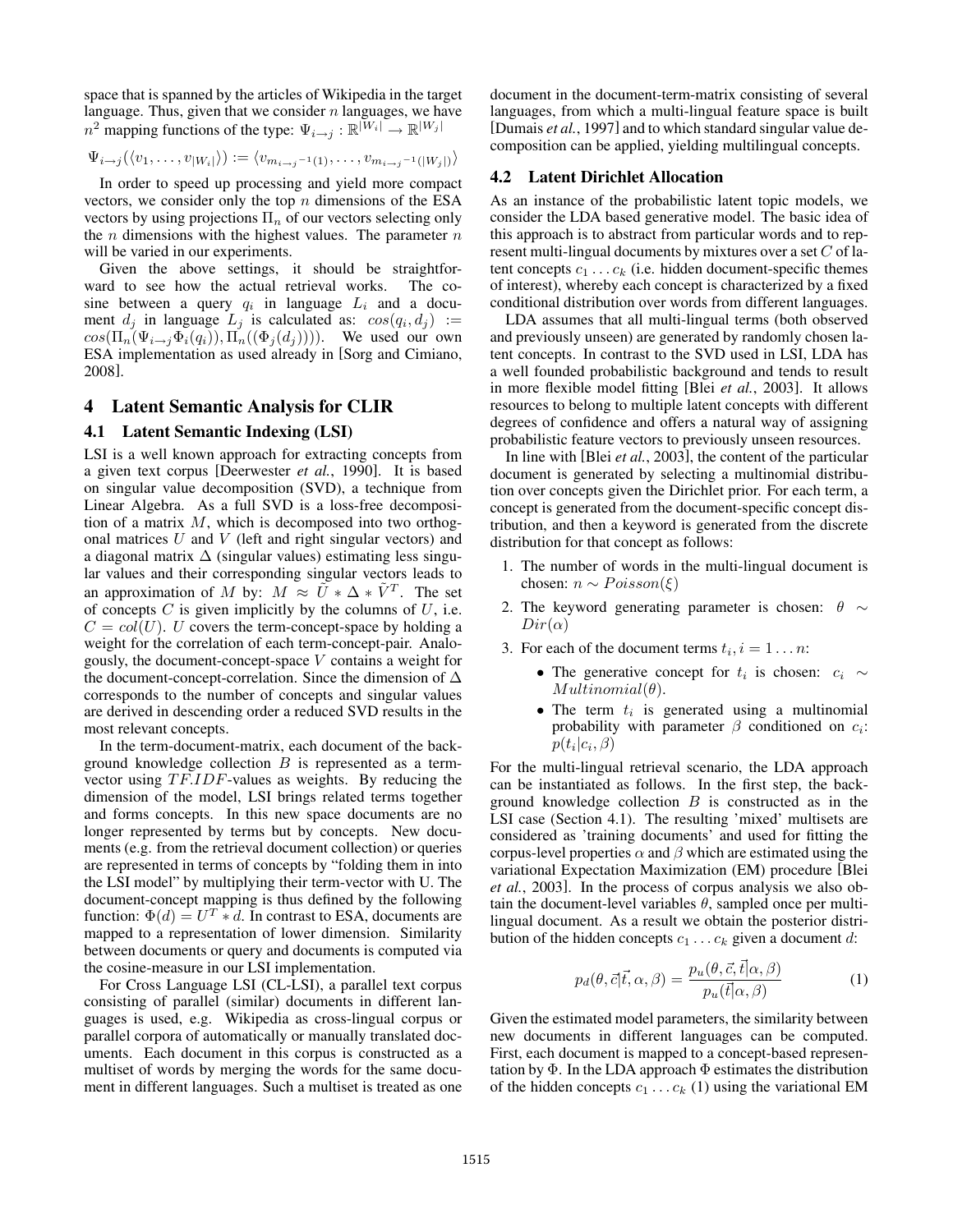space that is spanned by the articles of Wikipedia in the target language. Thus, given that we consider  $n$  languages, we have  $n^2$  mapping functions of the type:  $\Psi_{i\to j}$ :  $\mathbb{R}|\bar{W}_i| \to \mathbb{R}|W_j|$ 

$$
\Psi_{i\rightarrow j}(\langle v_1,\ldots,v_{|W_i|}\rangle):=\langle v_{m_{i\rightarrow j}-1(1)},\ldots,v_{m_{i\rightarrow j}-1(|W_j|)}\rangle
$$

In order to speed up processing and yield more compact vectors, we consider only the top  $n$  dimensions of the ESA vectors by using projections  $\Pi_n$  of our vectors selecting only the  $n$  dimensions with the highest values. The parameter  $n$ will be varied in our experiments.

Given the above settings, it should be straightforward to see how the actual retrieval works. The cosine between a query  $q_i$  in language  $L_i$  and a document  $d_j$  in language  $L_j$  is calculated as:  $cos(q_i, d_j) :=$  $cos(\Pi_n(\Psi_{i\rightarrow j}\Phi_i(q_i)), \Pi_n((\Phi_j(d_j))))$ . We used our own ESA implementation as used already in [Sorg and Cimiano, 2008].

#### 4 Latent Semantic Analysis for CLIR

#### 4.1 Latent Semantic Indexing (LSI)

LSI is a well known approach for extracting concepts from a given text corpus [Deerwester *et al.*, 1990]. It is based on singular value decomposition (SVD), a technique from Linear Algebra. As a full SVD is a loss-free decomposition of a matrix M, which is decomposed into two orthogonal matrices  $U$  and  $V$  (left and right singular vectors) and a diagonal matrix  $\Delta$  (singular values) estimating less singular values and their corresponding singular vectors leads to an approximation of M by:  $M \approx \tilde{U} * \Delta * \tilde{V}^T$ . The set of concepts  $C$  is given implicitly by the columns of  $U$ , i.e.  $C = col(U)$ . U covers the term-concept-space by holding a weight for the correlation of each term-concept-pair. Analogously, the document-concept-space V contains a weight for the document-concept-correlation. Since the dimension of  $\Delta$ corresponds to the number of concepts and singular values are derived in descending order a reduced SVD results in the most relevant concepts.

In the term-document-matrix, each document of the background knowledge collection  $B$  is represented as a termvector using  $TF.IDF$ -values as weights. By reducing the dimension of the model, LSI brings related terms together and forms concepts. In this new space documents are no longer represented by terms but by concepts. New documents (e.g. from the retrieval document collection) or queries are represented in terms of concepts by "folding them in into the LSI model" by multiplying their term-vector with U. The document-concept mapping is thus defined by the following function:  $\Phi(d) = U^T * d$ . In contrast to ESA, documents are mapped to a representation of lower dimension. Similarity between documents or query and documents is computed via the cosine-measure in our LSI implementation.

For Cross Language LSI (CL-LSI), a parallel text corpus consisting of parallel (similar) documents in different languages is used, e.g. Wikipedia as cross-lingual corpus or parallel corpora of automatically or manually translated documents. Each document in this corpus is constructed as a multiset of words by merging the words for the same document in different languages. Such a multiset is treated as one document in the document-term-matrix consisting of several languages, from which a multi-lingual feature space is built [Dumais *et al.*, 1997] and to which standard singular value decomposition can be applied, yielding multilingual concepts.

#### 4.2 Latent Dirichlet Allocation

As an instance of the probabilistic latent topic models, we consider the LDA based generative model. The basic idea of this approach is to abstract from particular words and to represent multi-lingual documents by mixtures over a set  $C$  of latent concepts  $c_1 \ldots c_k$  (i.e. hidden document-specific themes of interest), whereby each concept is characterized by a fixed conditional distribution over words from different languages.

LDA assumes that all multi-lingual terms (both observed and previously unseen) are generated by randomly chosen latent concepts. In contrast to the SVD used in LSI, LDA has a well founded probabilistic background and tends to result in more flexible model fitting [Blei *et al.*, 2003]. It allows resources to belong to multiple latent concepts with different degrees of confidence and offers a natural way of assigning probabilistic feature vectors to previously unseen resources.

In line with [Blei *et al.*, 2003], the content of the particular document is generated by selecting a multinomial distribution over concepts given the Dirichlet prior. For each term, a concept is generated from the document-specific concept distribution, and then a keyword is generated from the discrete distribution for that concept as follows:

- 1. The number of words in the multi-lingual document is chosen:  $n \sim Poisson(\xi)$
- 2. The keyword generating parameter is chosen:  $\theta \sim$  $Dir(\alpha)$
- 3. For each of the document terms  $t_i$ ,  $i = 1...n$ :
	- The generative concept for  $t_i$  is chosen:  $c_i \sim$  $Multinomial(\theta)$ .
	- The term  $t_i$  is generated using a multinomial probability with parameter  $\beta$  conditioned on  $c_i$ :  $p(t_i|c_i, \beta)$

For the multi-lingual retrieval scenario, the LDA approach can be instantiated as follows. In the first step, the background knowledge collection  $B$  is constructed as in the LSI case (Section 4.1). The resulting 'mixed' multisets are considered as 'training documents' and used for fitting the corpus-level properties  $\alpha$  and  $\beta$  which are estimated using the variational Expectation Maximization (EM) procedure [Blei *et al.*, 2003]. In the process of corpus analysis we also obtain the document-level variables  $\theta$ , sampled once per multilingual document. As a result we obtain the posterior distribution of the hidden concepts  $c_1 \ldots c_k$  given a document d:

$$
p_d(\theta, \vec{c} | \vec{t}, \alpha, \beta) = \frac{p_u(\theta, \vec{c}, \vec{t} | \alpha, \beta)}{p_u(\vec{t} | \alpha, \beta)}
$$
(1)

Given the estimated model parameters, the similarity between new documents in different languages can be computed. First, each document is mapped to a concept-based representation by  $\Phi$ . In the LDA approach  $\Phi$  estimates the distribution of the hidden concepts  $c_1 \ldots c_k$  (1) using the variational EM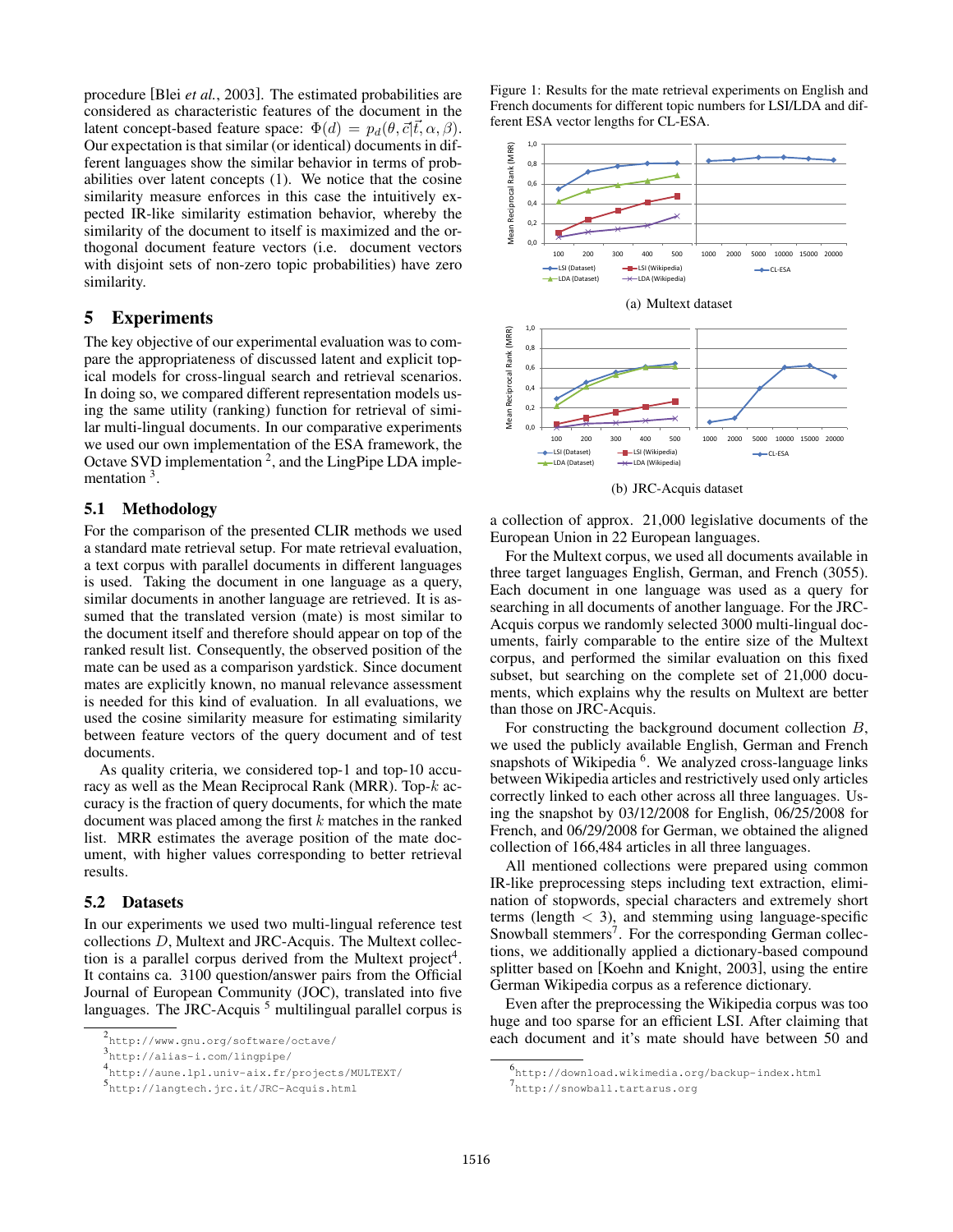procedure [Blei *et al.*, 2003]. The estimated probabilities are considered as characteristic features of the document in the latent concept-based feature space:  $\Phi(d) = p_d(\theta, \vec{c} | \vec{t}, \alpha, \beta)$ . Our expectation is that similar (or identical) documents in different languages show the similar behavior in terms of probabilities over latent concepts (1). We notice that the cosine similarity measure enforces in this case the intuitively expected IR-like similarity estimation behavior, whereby the similarity of the document to itself is maximized and the orthogonal document feature vectors (i.e. document vectors with disjoint sets of non-zero topic probabilities) have zero similarity.

#### 5 Experiments

The key objective of our experimental evaluation was to compare the appropriateness of discussed latent and explicit topical models for cross-lingual search and retrieval scenarios. In doing so, we compared different representation models using the same utility (ranking) function for retrieval of similar multi-lingual documents. In our comparative experiments we used our own implementation of the ESA framework, the Octave SVD implementation 2, and the LingPipe LDA implementation <sup>3</sup>.

#### 5.1 Methodology

For the comparison of the presented CLIR methods we used a standard mate retrieval setup. For mate retrieval evaluation, a text corpus with parallel documents in different languages is used. Taking the document in one language as a query, similar documents in another language are retrieved. It is assumed that the translated version (mate) is most similar to the document itself and therefore should appear on top of the ranked result list. Consequently, the observed position of the mate can be used as a comparison yardstick. Since document mates are explicitly known, no manual relevance assessment is needed for this kind of evaluation. In all evaluations, we used the cosine similarity measure for estimating similarity between feature vectors of the query document and of test documents.

As quality criteria, we considered top-1 and top-10 accuracy as well as the Mean Reciprocal Rank (MRR). Top- $k$  accuracy is the fraction of query documents, for which the mate document was placed among the first  $k$  matches in the ranked list. MRR estimates the average position of the mate document, with higher values corresponding to better retrieval results.

#### 5.2 Datasets

In our experiments we used two multi-lingual reference test collections D, Multext and JRC-Acquis. The Multext collection is a parallel corpus derived from the Multext project<sup>4</sup>. It contains ca. 3100 question/answer pairs from the Official Journal of European Community (JOC), translated into five languages. The JRC-Acquis<sup>5</sup> multilingual parallel corpus is

3 http://alias-i.com/lingpipe/

Figure 1: Results for the mate retrieval experiments on English and French documents for different topic numbers for LSI/LDA and different ESA vector lengths for CL-ESA.



(b) JRC-Acquis dataset

a collection of approx. 21,000 legislative documents of the European Union in 22 European languages.

For the Multext corpus, we used all documents available in three target languages English, German, and French (3055). Each document in one language was used as a query for searching in all documents of another language. For the JRC-Acquis corpus we randomly selected 3000 multi-lingual documents, fairly comparable to the entire size of the Multext corpus, and performed the similar evaluation on this fixed subset, but searching on the complete set of 21,000 documents, which explains why the results on Multext are better than those on JRC-Acquis.

For constructing the background document collection B, we used the publicly available English, German and French snapshots of Wikipedia <sup>6</sup>. We analyzed cross-language links between Wikipedia articles and restrictively used only articles correctly linked to each other across all three languages. Using the snapshot by 03/12/2008 for English, 06/25/2008 for French, and 06/29/2008 for German, we obtained the aligned collection of 166,484 articles in all three languages.

All mentioned collections were prepared using common IR-like preprocessing steps including text extraction, elimination of stopwords, special characters and extremely short terms (length  $<$  3), and stemming using language-specific Snowball stemmers<sup>7</sup>. For the corresponding German collections, we additionally applied a dictionary-based compound splitter based on [Koehn and Knight, 2003], using the entire German Wikipedia corpus as a reference dictionary.

Even after the preprocessing the Wikipedia corpus was too huge and too sparse for an efficient LSI. After claiming that each document and it's mate should have between 50 and

<sup>2</sup> http://www.gnu.org/software/octave/

<sup>4</sup> http://aune.lpl.univ-aix.fr/projects/MULTEXT/

<sup>5</sup> http://langtech.jrc.it/JRC-Acquis.html

<sup>6</sup> http://download.wikimedia.org/backup-index.html

<sup>7</sup>http://snowball.tartarus.org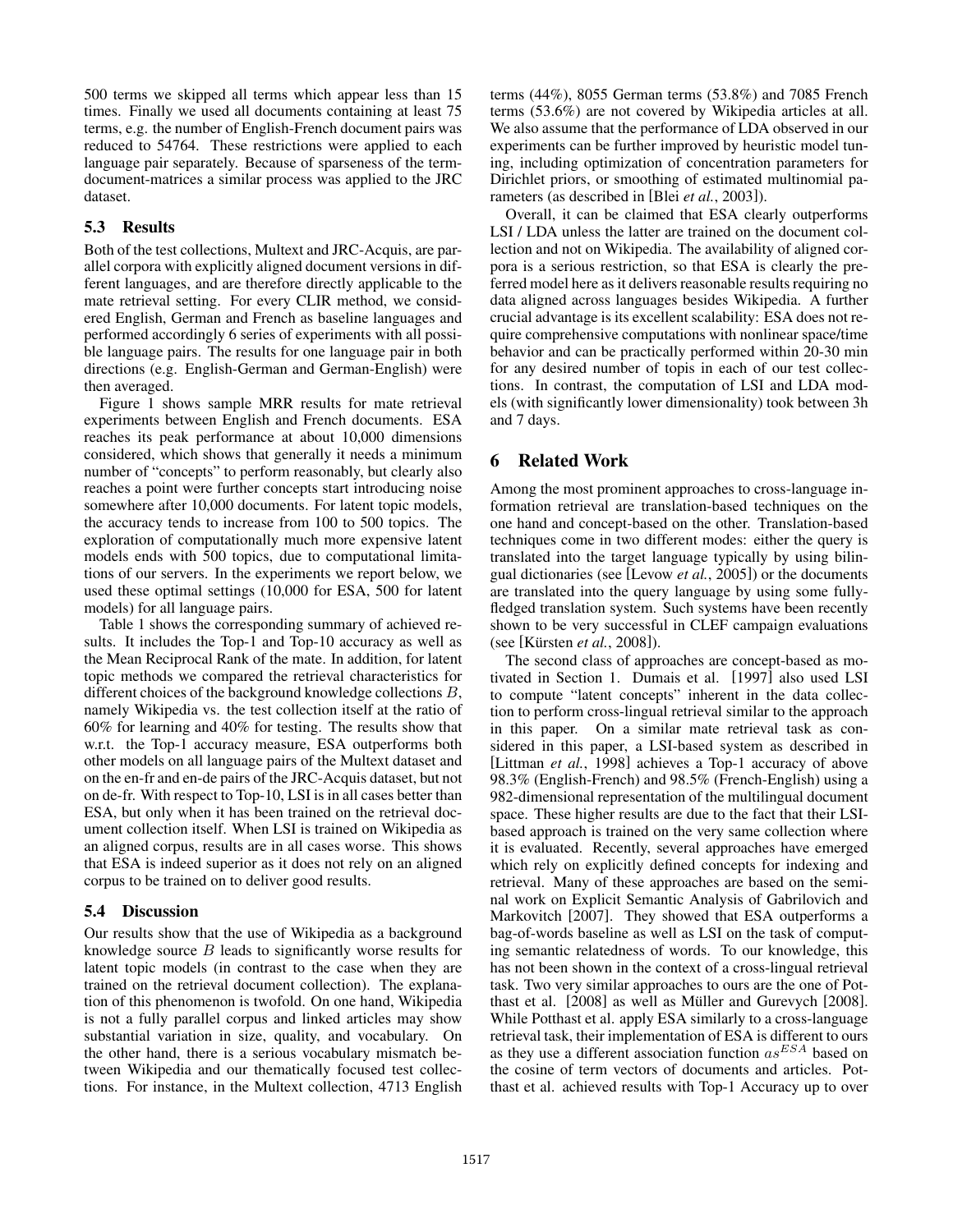500 terms we skipped all terms which appear less than 15 times. Finally we used all documents containing at least 75 terms, e.g. the number of English-French document pairs was reduced to 54764. These restrictions were applied to each language pair separately. Because of sparseness of the termdocument-matrices a similar process was applied to the JRC dataset.

## 5.3 Results

Both of the test collections, Multext and JRC-Acquis, are parallel corpora with explicitly aligned document versions in different languages, and are therefore directly applicable to the mate retrieval setting. For every CLIR method, we considered English, German and French as baseline languages and performed accordingly 6 series of experiments with all possible language pairs. The results for one language pair in both directions (e.g. English-German and German-English) were then averaged.

Figure 1 shows sample MRR results for mate retrieval experiments between English and French documents. ESA reaches its peak performance at about 10,000 dimensions considered, which shows that generally it needs a minimum number of "concepts" to perform reasonably, but clearly also reaches a point were further concepts start introducing noise somewhere after 10,000 documents. For latent topic models, the accuracy tends to increase from 100 to 500 topics. The exploration of computationally much more expensive latent models ends with 500 topics, due to computational limitations of our servers. In the experiments we report below, we used these optimal settings (10,000 for ESA, 500 for latent models) for all language pairs.

Table 1 shows the corresponding summary of achieved results. It includes the Top-1 and Top-10 accuracy as well as the Mean Reciprocal Rank of the mate. In addition, for latent topic methods we compared the retrieval characteristics for different choices of the background knowledge collections B, namely Wikipedia vs. the test collection itself at the ratio of 60% for learning and 40% for testing. The results show that w.r.t. the Top-1 accuracy measure, ESA outperforms both other models on all language pairs of the Multext dataset and on the en-fr and en-de pairs of the JRC-Acquis dataset, but not on de-fr. With respect to Top-10, LSI is in all cases better than ESA, but only when it has been trained on the retrieval document collection itself. When LSI is trained on Wikipedia as an aligned corpus, results are in all cases worse. This shows that ESA is indeed superior as it does not rely on an aligned corpus to be trained on to deliver good results.

## 5.4 Discussion

Our results show that the use of Wikipedia as a background knowledge source B leads to significantly worse results for latent topic models (in contrast to the case when they are trained on the retrieval document collection). The explanation of this phenomenon is twofold. On one hand, Wikipedia is not a fully parallel corpus and linked articles may show substantial variation in size, quality, and vocabulary. On the other hand, there is a serious vocabulary mismatch between Wikipedia and our thematically focused test collections. For instance, in the Multext collection, 4713 English terms (44%), 8055 German terms (53.8%) and 7085 French terms (53.6%) are not covered by Wikipedia articles at all. We also assume that the performance of LDA observed in our experiments can be further improved by heuristic model tuning, including optimization of concentration parameters for Dirichlet priors, or smoothing of estimated multinomial parameters (as described in [Blei *et al.*, 2003]).

Overall, it can be claimed that ESA clearly outperforms LSI / LDA unless the latter are trained on the document collection and not on Wikipedia. The availability of aligned corpora is a serious restriction, so that ESA is clearly the preferred model here as it delivers reasonable results requiring no data aligned across languages besides Wikipedia. A further crucial advantage is its excellent scalability: ESA does not require comprehensive computations with nonlinear space/time behavior and can be practically performed within 20-30 min for any desired number of topis in each of our test collections. In contrast, the computation of LSI and LDA models (with significantly lower dimensionality) took between 3h and 7 days.

## 6 Related Work

Among the most prominent approaches to cross-language information retrieval are translation-based techniques on the one hand and concept-based on the other. Translation-based techniques come in two different modes: either the query is translated into the target language typically by using bilingual dictionaries (see [Levow *et al.*, 2005]) or the documents are translated into the query language by using some fullyfledged translation system. Such systems have been recently shown to be very successful in CLEF campaign evaluations (see [Kürsten *et al.*, 2008]).

The second class of approaches are concept-based as motivated in Section 1. Dumais et al. [1997] also used LSI to compute "latent concepts" inherent in the data collection to perform cross-lingual retrieval similar to the approach in this paper. On a similar mate retrieval task as considered in this paper, a LSI-based system as described in [Littman *et al.*, 1998] achieves a Top-1 accuracy of above 98.3% (English-French) and 98.5% (French-English) using a 982-dimensional representation of the multilingual document space. These higher results are due to the fact that their LSIbased approach is trained on the very same collection where it is evaluated. Recently, several approaches have emerged which rely on explicitly defined concepts for indexing and retrieval. Many of these approaches are based on the seminal work on Explicit Semantic Analysis of Gabrilovich and Markovitch [2007]. They showed that ESA outperforms a bag-of-words baseline as well as LSI on the task of computing semantic relatedness of words. To our knowledge, this has not been shown in the context of a cross-lingual retrieval task. Two very similar approaches to ours are the one of Potthast et al.  $[2008]$  as well as Müller and Gurevych  $[2008]$ . While Potthast et al. apply ESA similarly to a cross-language retrieval task, their implementation of ESA is different to ours as they use a different association function  $as^{ESA}$  based on the cosine of term vectors of documents and articles. Potthast et al. achieved results with Top-1 Accuracy up to over